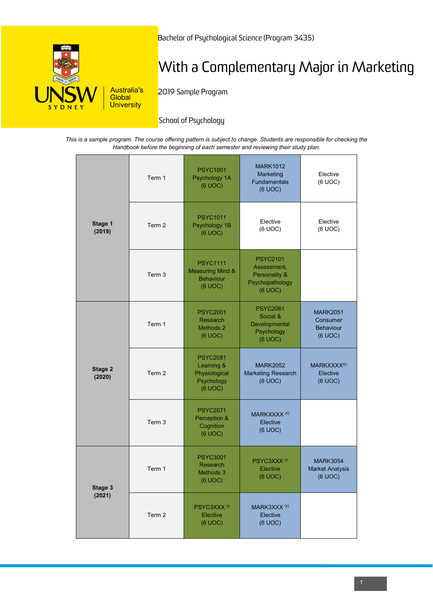

Bachelor of Psychological Science (Program 3435)

# With a Complementary Major in Marketing

2019 Sample Program

# **School of Psychology**

*This is a sample program. The course offering pattern is subject to change. Students are responsible for checking the Handbook before the beginning of each semester and reviewing their study plan.*

| Stage 1<br>(2019) | Term 1 | <b>PSYC1001</b><br>Psychology 1A<br>(6 UOC)                                   | <b>MARK1012</b><br>Marketing<br>Fundamentals<br>(6 UOC)                       | Elective<br>(6 UOC)                                        |
|-------------------|--------|-------------------------------------------------------------------------------|-------------------------------------------------------------------------------|------------------------------------------------------------|
|                   | Term 2 | <b>PSYC1011</b><br>Psychology 1B<br>(6 UOC)                                   | Elective<br>(6 UOC)                                                           | Elective<br>(6 UOC)                                        |
|                   | Term 3 | <b>PSYC1111</b><br><b>Measuring Mind &amp;</b><br><b>Behaviour</b><br>(6 UOC) | <b>PSYC2101</b><br>Assessment,<br>Personality &<br>Psychopathology<br>(6 UOC) |                                                            |
| Stage 2<br>(2020) | Term 1 | <b>PSYC2001</b><br>Research<br>Methods 2<br>(6 UOC)                           | <b>PSYC2061</b><br>Social &<br>Developmental<br>Psychology<br>(6 UOC)         | <b>MARK2051</b><br>Consumer<br><b>Behaviour</b><br>(6 UOC) |
|                   | Term 2 | <b>PSYC2081</b><br>Learning &<br>Physiological<br>Psychology<br>(6 UOC)       | <b>MARK2052</b><br><b>Marketing Research</b><br>(6 UOC)                       | MARKXXXX <sup>(ii)</sup><br>Elective<br>(6 UOC)            |
|                   | Term 3 | <b>PSYC2071</b><br>Perception &<br>Cognition<br>(6 UOC)                       | MARKXXXX <sup>(ii)</sup><br>Elective<br>(6 UOC)                               |                                                            |
| Stage 3<br>(2021) | Term 1 | <b>PSYC3001</b><br>Research<br>Methods 3<br>(6 UOC)                           | PSYC3XXX <sup>(i)</sup><br>Elective<br>(6 UOC)                                | <b>MARK3054</b><br><b>Market Analysis</b><br>(6 UOC)       |
|                   | Term 2 | PSYC3XXX <sup>(i)</sup><br>Elective<br>(6 UOC)                                | MARK3XXX <sup>(ii)</sup><br>Elective<br>(6 UOC)                               |                                                            |